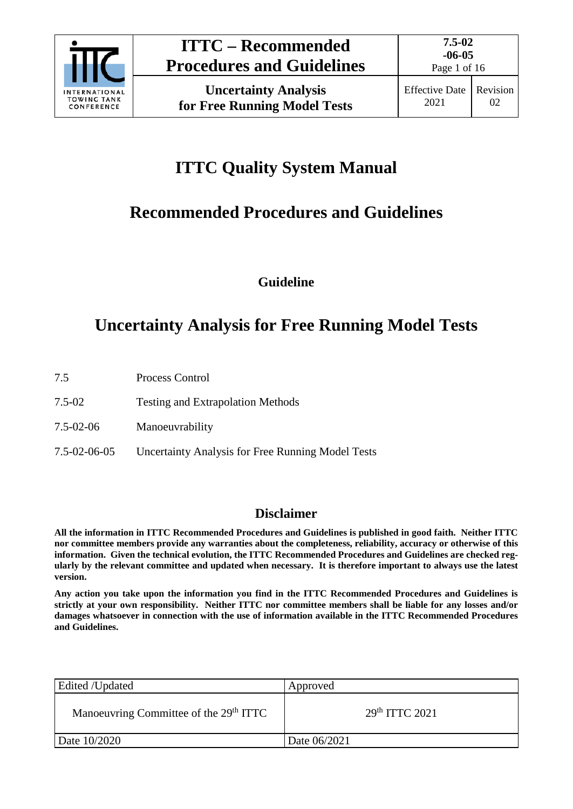

Page 1 of 16

# **ITTC Quality System Manual**

# **Recommended Procedures and Guidelines**

**Guideline**

# **Uncertainty Analysis for Free Running Model Tests**

- 7.5 Process Control
- 7.5-02 Testing and Extrapolation Methods
- 7.5-02-06 Manoeuvrability
- 7.5-02-06-05 Uncertainty Analysis for Free Running Model Tests

# **Disclaimer**

**All the information in ITTC Recommended Procedures and Guidelines is published in good faith. Neither ITTC nor committee members provide any warranties about the completeness, reliability, accuracy or otherwise of this information. Given the technical evolution, the ITTC Recommended Procedures and Guidelines are checked regularly by the relevant committee and updated when necessary. It is therefore important to always use the latest version.**

**Any action you take upon the information you find in the ITTC Recommended Procedures and Guidelines is strictly at your own responsibility. Neither ITTC nor committee members shall be liable for any losses and/or damages whatsoever in connection with the use of information available in the ITTC Recommended Procedures and Guidelines.**

| Edited /Updated                                    | Approved         |
|----------------------------------------------------|------------------|
| Manoeuvring Committee of the 29 <sup>th</sup> ITTC | $29th$ ITTC 2021 |
| Date 10/2020                                       | Date 06/2021     |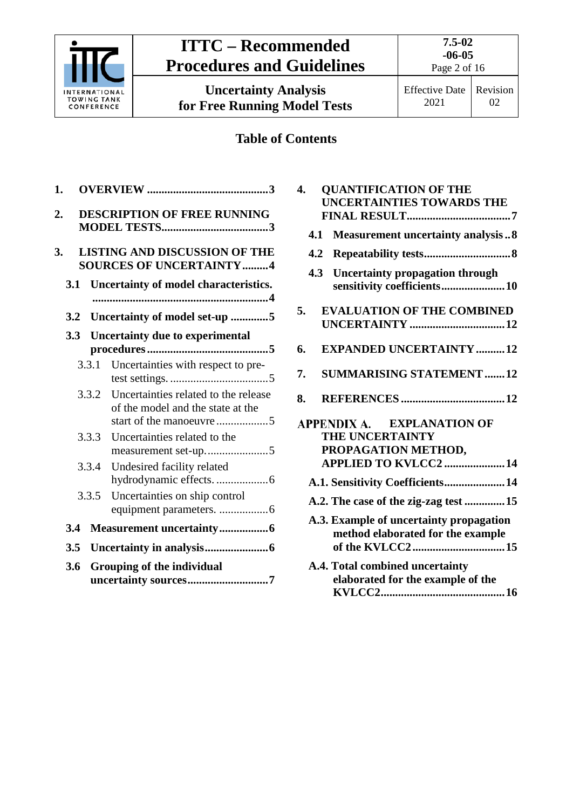

# **ITTC – Recommended Procedures and Guidelines**

**Uncertainty Analysis for Free Running Model Tests**

**7.5-02 -06-05** 

# **Table of Contents**

| 1.               |                                                                           |
|------------------|---------------------------------------------------------------------------|
| $\overline{2}$ . | <b>DESCRIPTION OF FREE RUNNING</b>                                        |
| 3.               | <b>LISTING AND DISCUSSION OF THE</b><br><b>SOURCES OF UNCERTAINTY4</b>    |
| 3.1              | Uncertainty of model characteristics.                                     |
| 3.2              | Uncertainty of model set-up 5                                             |
| 3.3              | <b>Uncertainty due to experimental</b>                                    |
| 3.3.1            | Uncertainties with respect to pre-                                        |
| 3.3.2            | Uncertainties related to the release<br>of the model and the state at the |
| 3.3.3            | Uncertainties related to the<br>measurement set-up5                       |
| 3.3.4            | Undesired facility related                                                |
| 3.3.5            | Uncertainties on ship control                                             |
| 3.4              |                                                                           |
| 3.5              |                                                                           |
| 3.6              | Grouping of the individual<br>uncertainty sources7                        |

| 4.  | <b>QUANTIFICATION OF THE</b><br><b>UNCERTAINTIES TOWARDS THE</b>             |
|-----|------------------------------------------------------------------------------|
|     |                                                                              |
| 4.1 | <b>Measurement uncertainty analysis8</b>                                     |
| 4.2 |                                                                              |
| 4.3 | <b>Uncertainty propagation through</b><br>sensitivity coefficients 10        |
| 5.  | <b>EVALUATION OF THE COMBINED</b>                                            |
|     |                                                                              |
| 6.  | <b>EXPANDED UNCERTAINTY12</b>                                                |
| 7.  | <b>SUMMARISING STATEMENT 12</b>                                              |
| 8.  |                                                                              |
|     | APPENDIX A. EXPLANATION OF                                                   |
|     | THE UNCERTAINTY                                                              |
|     | PROPAGATION METHOD,                                                          |
|     | APPLIED TO KVLCC2  14                                                        |
|     | A.1. Sensitivity Coefficients 14                                             |
|     | A.2. The case of the zig-zag test  15                                        |
|     | A.3. Example of uncertainty propagation<br>method elaborated for the example |
|     | A.4. Total combined uncertainty<br>elaborated for the example of the         |

**[KVLCC2...........................................16](#page-15-0)**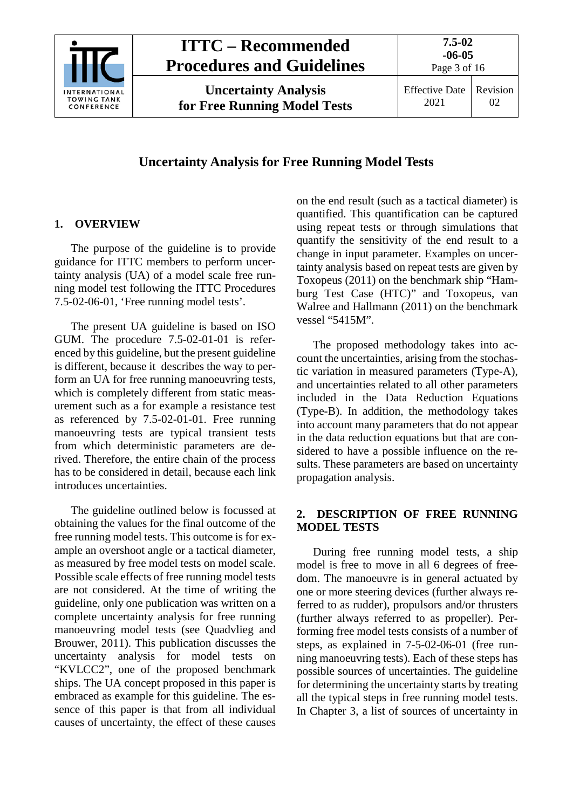

# **ITTC – Recommended Procedures and Guidelines**

**Uncertainty Analysis for Free Running Model Tests** **7.5-02**

# **Uncertainty Analysis for Free Running Model Tests**

# <span id="page-2-0"></span>**1. OVERVIEW**

The purpose of the guideline is to provide guidance for ITTC members to perform uncertainty analysis (UA) of a model scale free running model test following the ITTC Procedures 7.5-02-06-01, 'Free running model tests'.

The present UA guideline is based on ISO GUM. The procedure 7.5-02-01-01 is referenced by this guideline, but the present guideline is different, because it describes the way to perform an UA for free running manoeuvring tests, which is completely different from static measurement such as a for example a resistance test as referenced by 7.5-02-01-01. Free running manoeuvring tests are typical transient tests from which deterministic parameters are derived. Therefore, the entire chain of the process has to be considered in detail, because each link introduces uncertainties.

The guideline outlined below is focussed at obtaining the values for the final outcome of the free running model tests. This outcome is for example an overshoot angle or a tactical diameter, as measured by free model tests on model scale. Possible scale effects of free running model tests are not considered. At the time of writing the guideline, only one publication was written on a complete uncertainty analysis for free running manoeuvring model tests (see Quadvlieg and Brouwer, 2011). This publication discusses the uncertainty analysis for model tests on "KVLCC2", one of the proposed benchmark ships. The UA concept proposed in this paper is embraced as example for this guideline. The essence of this paper is that from all individual causes of uncertainty, the effect of these causes on the end result (such as a tactical diameter) is quantified. This quantification can be captured using repeat tests or through simulations that quantify the sensitivity of the end result to a change in input parameter. Examples on uncertainty analysis based on repeat tests are given by Toxopeus (2011) on the benchmark ship "Hamburg Test Case (HTC)" and Toxopeus, van Walree and Hallmann (2011) on the benchmark vessel "5415M".

The proposed methodology takes into account the uncertainties, arising from the stochastic variation in measured parameters (Type-A), and uncertainties related to all other parameters included in the Data Reduction Equations (Type-B). In addition, the methodology takes into account many parameters that do not appear in the data reduction equations but that are considered to have a possible influence on the results. These parameters are based on uncertainty propagation analysis.

# <span id="page-2-1"></span>**2. DESCRIPTION OF FREE RUNNING MODEL TESTS**

During free running model tests, a ship model is free to move in all 6 degrees of freedom. The manoeuvre is in general actuated by one or more steering devices (further always referred to as rudder), propulsors and/or thrusters (further always referred to as propeller). Performing free model tests consists of a number of steps, as explained in 7-5-02-06-01 (free running manoeuvring tests). Each of these steps has possible sources of uncertainties. The guideline for determining the uncertainty starts by treating all the typical steps in free running model tests. In Chapter [3,](#page-3-0) a list of sources of uncertainty in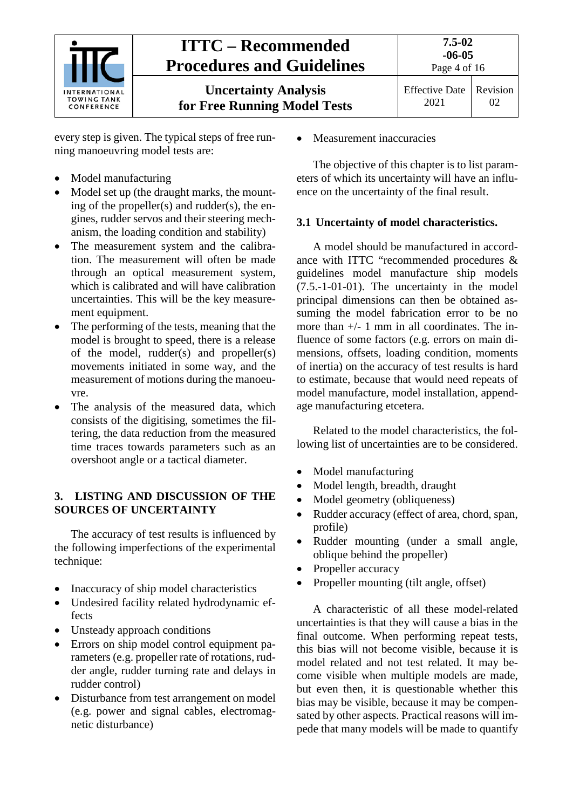

every step is given. The typical steps of free running manoeuvring model tests are:

- Model manufacturing
- Model set up (the draught marks, the mounting of the propeller(s) and rudder(s), the engines, rudder servos and their steering mechanism, the loading condition and stability)
- The measurement system and the calibration. The measurement will often be made through an optical measurement system, which is calibrated and will have calibration uncertainties. This will be the key measurement equipment.
- The performing of the tests, meaning that the model is brought to speed, there is a release of the model, rudder(s) and propeller(s) movements initiated in some way, and the measurement of motions during the manoeuvre.
- The analysis of the measured data, which consists of the digitising, sometimes the filtering, the data reduction from the measured time traces towards parameters such as an overshoot angle or a tactical diameter.

### <span id="page-3-0"></span>**3. LISTING AND DISCUSSION OF THE SOURCES OF UNCERTAINTY**

The accuracy of test results is influenced by the following imperfections of the experimental technique:

- Inaccuracy of ship model characteristics
- Undesired facility related hydrodynamic effects
- Unsteady approach conditions
- Errors on ship model control equipment parameters (e.g. propeller rate of rotations, rudder angle, rudder turning rate and delays in rudder control)
- Disturbance from test arrangement on model (e.g. power and signal cables, electromagnetic disturbance)

Measurement inaccuracies

The objective of this chapter is to list parameters of which its uncertainty will have an influence on the uncertainty of the final result.

# <span id="page-3-1"></span>**3.1 Uncertainty of model characteristics.**

A model should be manufactured in accordance with ITTC "recommended procedures & guidelines model manufacture ship models (7.5.-1-01-01). The uncertainty in the model principal dimensions can then be obtained assuming the model fabrication error to be no more than +/- 1 mm in all coordinates. The influence of some factors (e.g. errors on main dimensions, offsets, loading condition, moments of inertia) on the accuracy of test results is hard to estimate, because that would need repeats of model manufacture, model installation, appendage manufacturing etcetera.

Related to the model characteristics, the following list of uncertainties are to be considered.

- Model manufacturing
- Model length, breadth, draught
- Model geometry (obliqueness)
- Rudder accuracy (effect of area, chord, span, profile)
- Rudder mounting (under a small angle, oblique behind the propeller)
- Propeller accuracy
- Propeller mounting (tilt angle, offset)

A characteristic of all these model-related uncertainties is that they will cause a bias in the final outcome. When performing repeat tests, this bias will not become visible, because it is model related and not test related. It may become visible when multiple models are made, but even then, it is questionable whether this bias may be visible, because it may be compensated by other aspects. Practical reasons will impede that many models will be made to quantify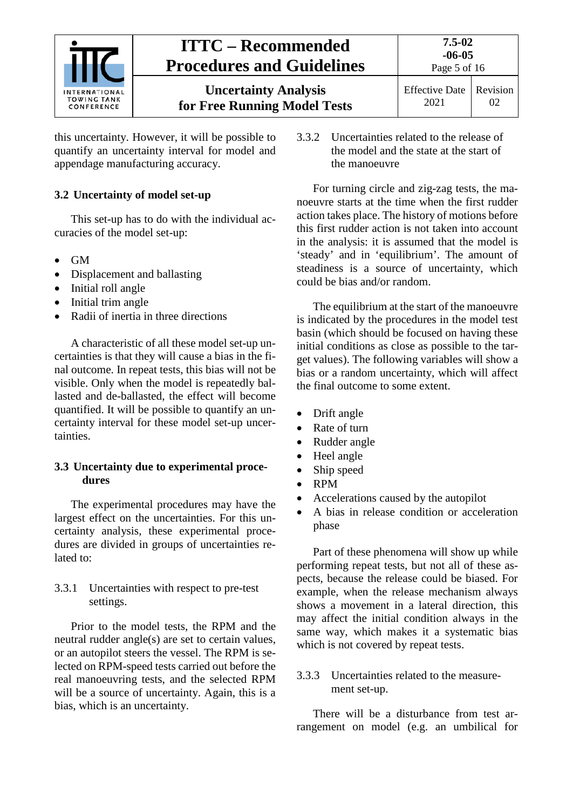

this uncertainty. However, it will be possible to quantify an uncertainty interval for model and appendage manufacturing accuracy.

# <span id="page-4-0"></span>**3.2 Uncertainty of model set-up**

This set-up has to do with the individual accuracies of the model set-up:

- GM
- Displacement and ballasting
- Initial roll angle
- Initial trim angle
- Radii of inertia in three directions

A characteristic of all these model set-up uncertainties is that they will cause a bias in the final outcome. In repeat tests, this bias will not be visible. Only when the model is repeatedly ballasted and de-ballasted, the effect will become quantified. It will be possible to quantify an uncertainty interval for these model set-up uncertainties.

# <span id="page-4-1"></span>**3.3 Uncertainty due to experimental procedures**

The experimental procedures may have the largest effect on the uncertainties. For this uncertainty analysis, these experimental procedures are divided in groups of uncertainties related to:

### <span id="page-4-2"></span>3.3.1 Uncertainties with respect to pre-test settings.

Prior to the model tests, the RPM and the neutral rudder angle(s) are set to certain values, or an autopilot steers the vessel. The RPM is selected on RPM-speed tests carried out before the real manoeuvring tests, and the selected RPM will be a source of uncertainty. Again, this is a bias, which is an uncertainty.

<span id="page-4-3"></span>3.3.2 Uncertainties related to the release of the model and the state at the start of the manoeuvre

For turning circle and zig-zag tests, the manoeuvre starts at the time when the first rudder action takes place. The history of motions before this first rudder action is not taken into account in the analysis: it is assumed that the model is 'steady' and in 'equilibrium'. The amount of steadiness is a source of uncertainty, which could be bias and/or random.

The equilibrium at the start of the manoeuvre is indicated by the procedures in the model test basin (which should be focused on having these initial conditions as close as possible to the target values). The following variables will show a bias or a random uncertainty, which will affect the final outcome to some extent.

- Drift angle
- Rate of turn
- Rudder angle
- Heel angle
- Ship speed
- RPM
- Accelerations caused by the autopilot
- A bias in release condition or acceleration phase

Part of these phenomena will show up while performing repeat tests, but not all of these aspects, because the release could be biased. For example, when the release mechanism always shows a movement in a lateral direction, this may affect the initial condition always in the same way, which makes it a systematic bias which is not covered by repeat tests.

# <span id="page-4-4"></span>3.3.3 Uncertainties related to the measurement set-up.

There will be a disturbance from test arrangement on model (e.g. an umbilical for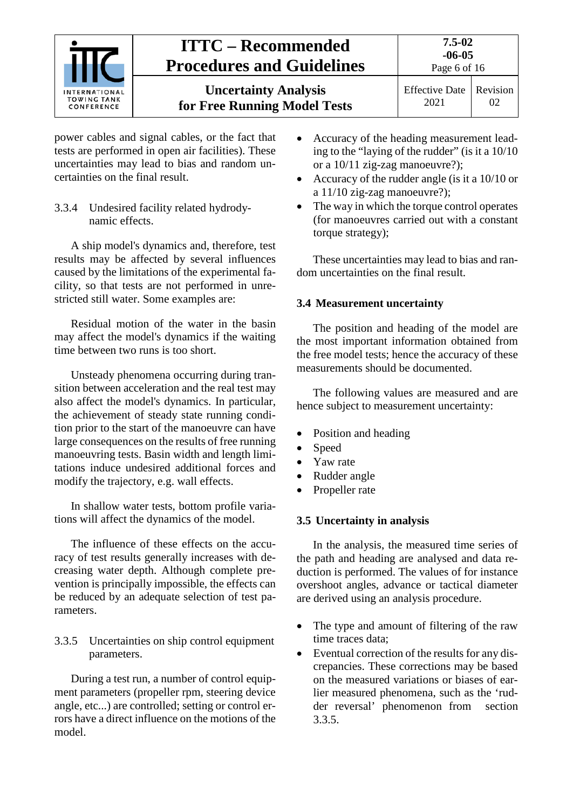

power cables and signal cables, or the fact that tests are performed in open air facilities). These uncertainties may lead to bias and random uncertainties on the final result.

<span id="page-5-0"></span>3.3.4 Undesired facility related hydrodynamic effects.

A ship model's dynamics and, therefore, test results may be affected by several influences caused by the limitations of the experimental facility, so that tests are not performed in unrestricted still water. Some examples are:

Residual motion of the water in the basin may affect the model's dynamics if the waiting time between two runs is too short.

Unsteady phenomena occurring during transition between acceleration and the real test may also affect the model's dynamics. In particular, the achievement of steady state running condition prior to the start of the manoeuvre can have large consequences on the results of free running manoeuvring tests. Basin width and length limitations induce undesired additional forces and modify the trajectory, e.g. wall effects.

In shallow water tests, bottom profile variations will affect the dynamics of the model.

The influence of these effects on the accuracy of test results generally increases with decreasing water depth. Although complete prevention is principally impossible, the effects can be reduced by an adequate selection of test parameters.

### <span id="page-5-1"></span>3.3.5 Uncertainties on ship control equipment parameters.

During a test run, a number of control equipment parameters (propeller rpm, steering device angle, etc...) are controlled; setting or control errors have a direct influence on the motions of the model.

- Accuracy of the heading measurement leading to the "laying of the rudder" (is it a 10/10 or a 10/11 zig-zag manoeuvre?);
- Accuracy of the rudder angle (is it a 10/10 or a 11/10 zig-zag manoeuvre?);
- The way in which the torque control operates (for manoeuvres carried out with a constant torque strategy);

These uncertainties may lead to bias and random uncertainties on the final result.

# <span id="page-5-2"></span>**3.4 Measurement uncertainty**

The position and heading of the model are the most important information obtained from the free model tests; hence the accuracy of these measurements should be documented.

The following values are measured and are hence subject to measurement uncertainty:

- Position and heading
- Speed
- Yaw rate
- Rudder angle
- Propeller rate

# <span id="page-5-3"></span>**3.5 Uncertainty in analysis**

In the analysis, the measured time series of the path and heading are analysed and data reduction is performed. The values of for instance overshoot angles, advance or tactical diameter are derived using an analysis procedure.

- The type and amount of filtering of the raw time traces data;
- Eventual correction of the results for any discrepancies. These corrections may be based on the measured variations or biases of earlier measured phenomena, such as the 'rudder reversal' phenomenon from section [3.3.5.](#page-5-1)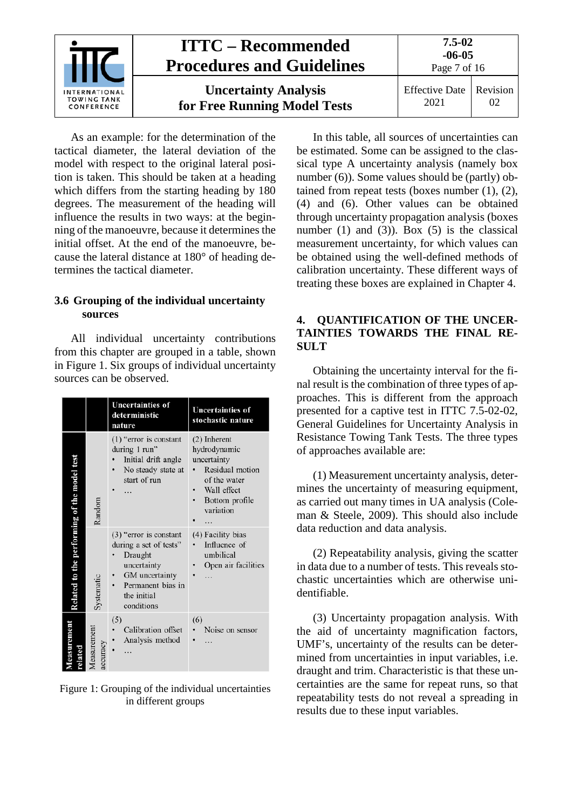

As an example: for the determination of the tactical diameter, the lateral deviation of the model with respect to the original lateral position is taken. This should be taken at a heading which differs from the starting heading by 180 degrees. The measurement of the heading will influence the results in two ways: at the beginning of the manoeuvre, because it determines the initial offset. At the end of the manoeuvre, because the lateral distance at 180° of heading determines the tactical diameter.

#### <span id="page-6-0"></span>**3.6 Grouping of the individual uncertainty sources**

All individual uncertainty contributions from this chapter are grouped in a table, shown in [Figure 1.](#page-6-2) Six groups of individual uncertainty sources can be observed.

|                                             |                         | <b>Uncertainties of</b><br>deterministic<br>nature                                                                                               | <b>Uncertainties of</b><br>stochastic nature                                                                                      |
|---------------------------------------------|-------------------------|--------------------------------------------------------------------------------------------------------------------------------------------------|-----------------------------------------------------------------------------------------------------------------------------------|
|                                             | Random                  | $(1)$ "error is constant<br>during 1 run"<br>Initial drift angle<br>No steady state at<br>start of run                                           | (2) Inherent<br>hydrodynamic<br>uncertainty<br>Residual motion<br>of the water<br>Wall effect<br>Bottom profile<br>variation<br>. |
| Related to the performing of the model test | Systematic              | $(3)$ "error is constant<br>during a set of tests"<br>Draught<br>uncertainty<br>GM uncertainty<br>Permanent bias in<br>the initial<br>conditions | (4) Facility bias<br>Influence of<br>umbilical<br>Open air facilities                                                             |
| emenes                                      | Measurement<br>accuracy | (5)<br>Calibration offset<br>Analysis method                                                                                                     | (6)<br>Noise on sensor<br>$\bullet$                                                                                               |

<span id="page-6-2"></span>Figure 1: Grouping of the individual uncertainties in different groups

In this table, all sources of uncertainties can be estimated. Some can be assigned to the classical type A uncertainty analysis (namely box number (6)). Some values should be (partly) obtained from repeat tests (boxes number  $(1)$ ,  $(2)$ , (4) and (6). Other values can be obtained through uncertainty propagation analysis (boxes number (1) and (3)). Box (5) is the classical measurement uncertainty, for which values can be obtained using the well-defined methods of calibration uncertainty. These different ways of treating these boxes are explained in Chapter [4.](#page-6-1)

### <span id="page-6-1"></span>**4. QUANTIFICATION OF THE UNCER-TAINTIES TOWARDS THE FINAL RE-SULT**

Obtaining the uncertainty interval for the final result is the combination of three types of approaches. This is different from the approach presented for a captive test in ITTC 7.5-02-02, General Guidelines for Uncertainty Analysis in Resistance Towing Tank Tests. The three types of approaches available are:

(1) Measurement uncertainty analysis, determines the uncertainty of measuring equipment, as carried out many times in UA analysis (Coleman & Steele, 2009). This should also include data reduction and data analysis.

(2) Repeatability analysis, giving the scatter in data due to a number of tests. This reveals stochastic uncertainties which are otherwise unidentifiable.

(3) Uncertainty propagation analysis. With the aid of uncertainty magnification factors, UMF's, uncertainty of the results can be determined from uncertainties in input variables, i.e. draught and trim. Characteristic is that these uncertainties are the same for repeat runs, so that repeatability tests do not reveal a spreading in results due to these input variables.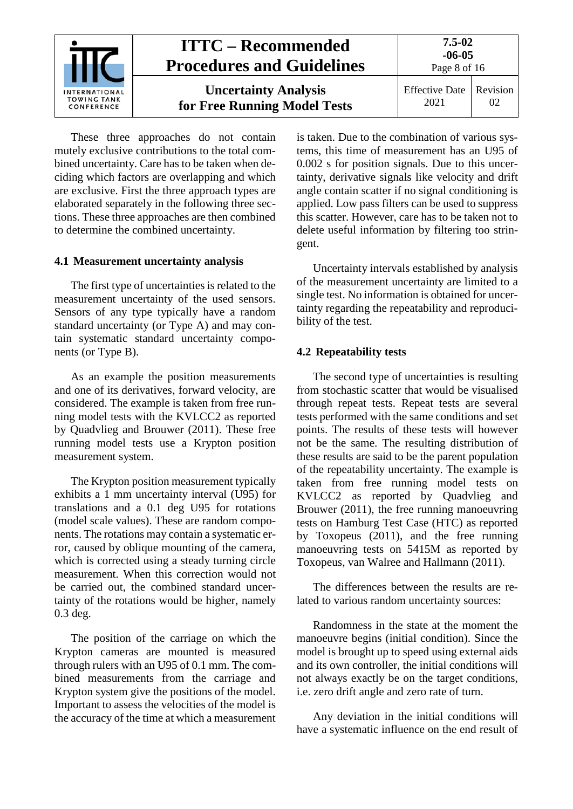

These three approaches do not contain mutely exclusive contributions to the total combined uncertainty. Care has to be taken when deciding which factors are overlapping and which are exclusive. First the three approach types are elaborated separately in the following three sections. These three approaches are then combined to determine the combined uncertainty.

#### <span id="page-7-0"></span>**4.1 Measurement uncertainty analysis**

The first type of uncertainties is related to the measurement uncertainty of the used sensors. Sensors of any type typically have a random standard uncertainty (or Type A) and may contain systematic standard uncertainty components (or Type B).

As an example the position measurements and one of its derivatives, forward velocity, are considered. The example is taken from free running model tests with the KVLCC2 as reported by Quadvlieg and Brouwer (2011). These free running model tests use a Krypton position measurement system.

The Krypton position measurement typically exhibits a 1 mm uncertainty interval (U95) for translations and a 0.1 deg U95 for rotations (model scale values). These are random components. The rotations may contain a systematic error, caused by oblique mounting of the camera, which is corrected using a steady turning circle measurement. When this correction would not be carried out, the combined standard uncertainty of the rotations would be higher, namely 0.3 deg.

The position of the carriage on which the Krypton cameras are mounted is measured through rulers with an U95 of 0.1 mm. The combined measurements from the carriage and Krypton system give the positions of the model. Important to assess the velocities of the model is the accuracy of the time at which a measurement is taken. Due to the combination of various systems, this time of measurement has an U95 of 0.002 s for position signals. Due to this uncertainty, derivative signals like velocity and drift angle contain scatter if no signal conditioning is applied. Low pass filters can be used to suppress this scatter. However, care has to be taken not to delete useful information by filtering too stringent.

Uncertainty intervals established by analysis of the measurement uncertainty are limited to a single test. No information is obtained for uncertainty regarding the repeatability and reproducibility of the test.

#### <span id="page-7-1"></span>**4.2 Repeatability tests**

The second type of uncertainties is resulting from stochastic scatter that would be visualised through repeat tests. Repeat tests are several tests performed with the same conditions and set points. The results of these tests will however not be the same. The resulting distribution of these results are said to be the parent population of the repeatability uncertainty. The example is taken from free running model tests on KVLCC2 as reported by Quadvlieg and Brouwer (2011), the free running manoeuvring tests on Hamburg Test Case (HTC) as reported by Toxopeus (2011), and the free running manoeuvring tests on 5415M as reported by Toxopeus, van Walree and Hallmann (2011).

The differences between the results are related to various random uncertainty sources:

Randomness in the state at the moment the manoeuvre begins (initial condition). Since the model is brought up to speed using external aids and its own controller, the initial conditions will not always exactly be on the target conditions, i.e. zero drift angle and zero rate of turn.

Any deviation in the initial conditions will have a systematic influence on the end result of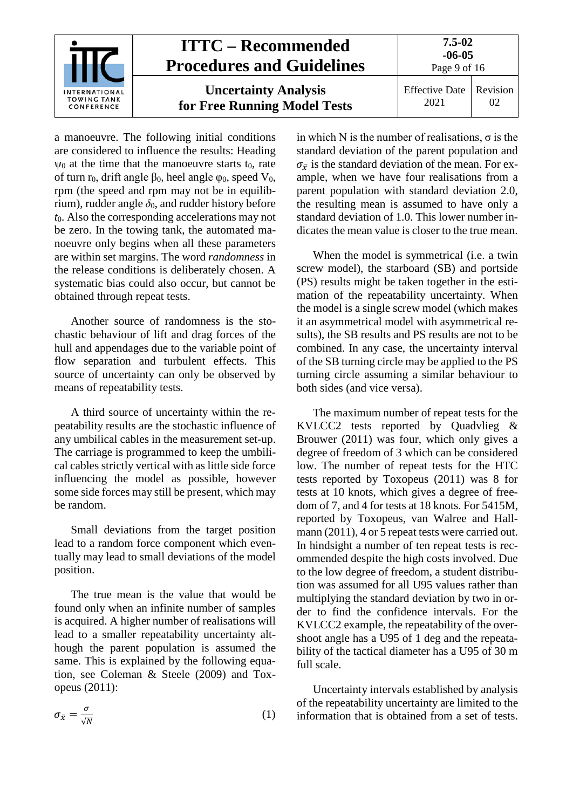

a manoeuvre. The following initial conditions are considered to influence the results: Heading  $\psi_0$  at the time that the manoeuvre starts t<sub>0</sub>, rate of turn r<sub>0</sub>, drift angle β<sub>0</sub>, heel angle φ<sub>0</sub>, speed  $V_0$ , rpm (the speed and rpm may not be in equilibrium), rudder angle  $\delta_0$ , and rudder history before *t*0. Also the corresponding accelerations may not be zero. In the towing tank, the automated manoeuvre only begins when all these parameters are within set margins. The word *randomness* in the release conditions is deliberately chosen. A systematic bias could also occur, but cannot be obtained through repeat tests.

Another source of randomness is the stochastic behaviour of lift and drag forces of the hull and appendages due to the variable point of flow separation and turbulent effects. This source of uncertainty can only be observed by means of repeatability tests.

A third source of uncertainty within the repeatability results are the stochastic influence of any umbilical cables in the measurement set-up. The carriage is programmed to keep the umbilical cables strictly vertical with as little side force influencing the model as possible, however some side forces may still be present, which may be random.

Small deviations from the target position lead to a random force component which eventually may lead to small deviations of the model position.

The true mean is the value that would be found only when an infinite number of samples is acquired. A higher number of realisations will lead to a smaller repeatability uncertainty although the parent population is assumed the same. This is explained by the following equation, see Coleman & Steele (2009) and Toxopeus (2011):

$$
\sigma_{\bar{x}} = \frac{\sigma}{\sqrt{N}} \tag{1}
$$

in which N is the number of realisations,  $\sigma$  is the standard deviation of the parent population and  $\sigma_{\bar{r}}$  is the standard deviation of the mean. For example, when we have four realisations from a parent population with standard deviation 2.0, the resulting mean is assumed to have only a standard deviation of 1.0. This lower number indicates the mean value is closer to the true mean.

When the model is symmetrical (i.e. a twin screw model), the starboard (SB) and portside (PS) results might be taken together in the estimation of the repeatability uncertainty. When the model is a single screw model (which makes it an asymmetrical model with asymmetrical results), the SB results and PS results are not to be combined. In any case, the uncertainty interval of the SB turning circle may be applied to the PS turning circle assuming a similar behaviour to both sides (and vice versa).

The maximum number of repeat tests for the KVLCC2 tests reported by Quadvlieg & Brouwer (2011) was four, which only gives a degree of freedom of 3 which can be considered low. The number of repeat tests for the HTC tests reported by Toxopeus (2011) was 8 for tests at 10 knots, which gives a degree of freedom of 7, and 4 for tests at 18 knots. For 5415M, reported by Toxopeus, van Walree and Hallmann (2011), 4 or 5 repeat tests were carried out. In hindsight a number of ten repeat tests is recommended despite the high costs involved. Due to the low degree of freedom, a student distribution was assumed for all U95 values rather than multiplying the standard deviation by two in order to find the confidence intervals. For the KVLCC2 example, the repeatability of the overshoot angle has a U95 of 1 deg and the repeatability of the tactical diameter has a U95 of 30 m full scale.

Uncertainty intervals established by analysis of the repeatability uncertainty are limited to the information that is obtained from a set of tests.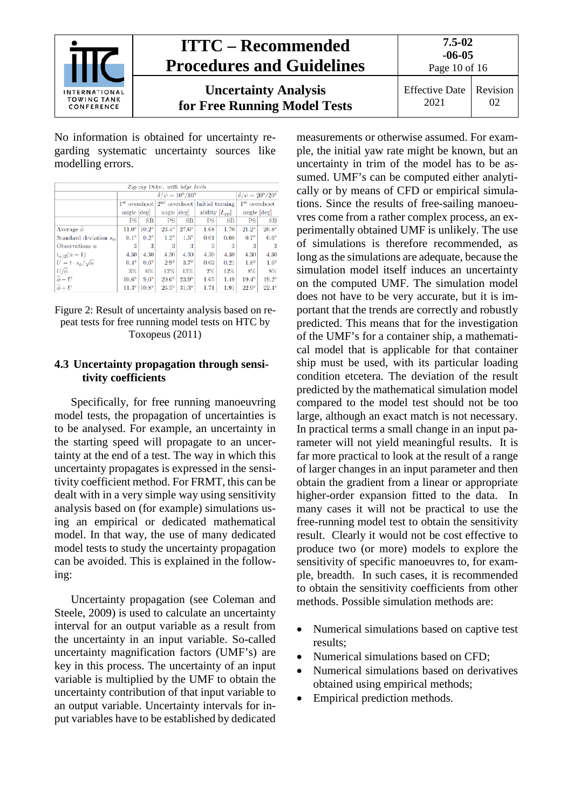

No information is obtained for uncertainty regarding systematic uncertainty sources like modelling errors.

| Zig-zag 18kn, with bilge keels  |              |                                       |              |              |                                                 |      |                           |                                       |  |  |
|---------------------------------|--------------|---------------------------------------|--------------|--------------|-------------------------------------------------|------|---------------------------|---------------------------------------|--|--|
|                                 |              | $\delta/\psi = 10^{\circ}/10^{\circ}$ |              |              |                                                 |      |                           | $\delta/\psi = 20^{\circ}/20^{\circ}$ |  |  |
|                                 |              |                                       |              |              | $1st$ overshoot $2nd$ overshoot Initial turning |      | 1 <sup>st</sup> overshoot |                                       |  |  |
|                                 | angle [deg]  |                                       | angle [deg]  |              | ability $[L_{\text{pp}}]$                       |      | angle $[deg]$             |                                       |  |  |
|                                 | PS           | SB                                    | PS           | SB           | PS                                              | SB   | PS                        | <b>SB</b>                             |  |  |
| Average $\phi$                  |              | $11.0^{\circ}$   $10.2^{\circ}$       | $23.4^\circ$ | $27.6^\circ$ | 1.68                                            | 1.70 | $21.2^\circ$              | $20.8^\circ$                          |  |  |
| Standard deviation $s_{\phi}$   | $0.1^\circ$  | $0.2^\circ$                           | $1.2^\circ$  | $1.5^\circ$  | 0.01                                            | 0.08 | $0.7^\circ$               | $0.6^\circ$                           |  |  |
| Observations n                  | 3            | 3                                     | 3            | 3            | 3                                               | 3    | 3                         | 3                                     |  |  |
| $t_{\alpha/2}(n-1)$             | 4.30         | 4.30                                  | 4.30         | 4.30         | 4.30                                            | 4.30 | 4.30                      | 4.30                                  |  |  |
| $U = t \cdot s_{\phi}/\sqrt{n}$ | $0.4^\circ$  | $0.6^\circ$                           | $2.9^\circ$  | $3.7^\circ$  | 0.03                                            | 0.21 | $1.8^\circ$               | $1.6^\circ$                           |  |  |
| $U/\overline{\phi}$             | $3\%$        | 6%                                    | 12%          | 13%          | $2\%$                                           | 12%  | 8%                        | 8%                                    |  |  |
| $\overline{\phi}-U$             | $10.6^\circ$ | $9.6^\circ$                           | $20.6^\circ$ | $23.9^\circ$ | 1.65                                            | 1.49 | $19.4^\circ$              | $19.2^\circ$                          |  |  |
| $\overline{\phi}+U$             | $11.3^\circ$ | $10.8^\circ$                          | $26.3^\circ$ | $31.3^\circ$ | 1.71                                            | 1.91 | $22.9^\circ$              | $22.4^\circ$                          |  |  |

#### Figure 2: Result of uncertainty analysis based on repeat tests for free running model tests on HTC by Toxopeus (2011)

#### <span id="page-9-0"></span>**4.3 Uncertainty propagation through sensitivity coefficients**

Specifically, for free running manoeuvring model tests, the propagation of uncertainties is to be analysed. For example, an uncertainty in the starting speed will propagate to an uncertainty at the end of a test. The way in which this uncertainty propagates is expressed in the sensitivity coefficient method. For FRMT, this can be dealt with in a very simple way using sensitivity analysis based on (for example) simulations using an empirical or dedicated mathematical model. In that way, the use of many dedicated model tests to study the uncertainty propagation can be avoided. This is explained in the following:

Uncertainty propagation (see Coleman and Steele, 2009) is used to calculate an uncertainty interval for an output variable as a result from the uncertainty in an input variable. So-called uncertainty magnification factors (UMF's) are key in this process. The uncertainty of an input variable is multiplied by the UMF to obtain the uncertainty contribution of that input variable to an output variable. Uncertainty intervals for input variables have to be established by dedicated measurements or otherwise assumed. For example, the initial yaw rate might be known, but an uncertainty in trim of the model has to be assumed. UMF's can be computed either analytically or by means of CFD or empirical simulations. Since the results of free-sailing manoeuvres come from a rather complex process, an experimentally obtained UMF is unlikely. The use of simulations is therefore recommended, as long as the simulations are adequate, because the simulation model itself induces an uncertainty on the computed UMF. The simulation model does not have to be very accurate, but it is important that the trends are correctly and robustly predicted. This means that for the investigation of the UMF's for a container ship, a mathematical model that is applicable for that container ship must be used, with its particular loading condition etcetera. The deviation of the result predicted by the mathematical simulation model compared to the model test should not be too large, although an exact match is not necessary. In practical terms a small change in an input parameter will not yield meaningful results. It is far more practical to look at the result of a range of larger changes in an input parameter and then obtain the gradient from a linear or appropriate higher-order expansion fitted to the data. In many cases it will not be practical to use the free-running model test to obtain the sensitivity result. Clearly it would not be cost effective to produce two (or more) models to explore the sensitivity of specific manoeuvres to, for example, breadth. In such cases, it is recommended to obtain the sensitivity coefficients from other methods. Possible simulation methods are:

- Numerical simulations based on captive test results;
- Numerical simulations based on CFD;
- Numerical simulations based on derivatives obtained using empirical methods;
- Empirical prediction methods.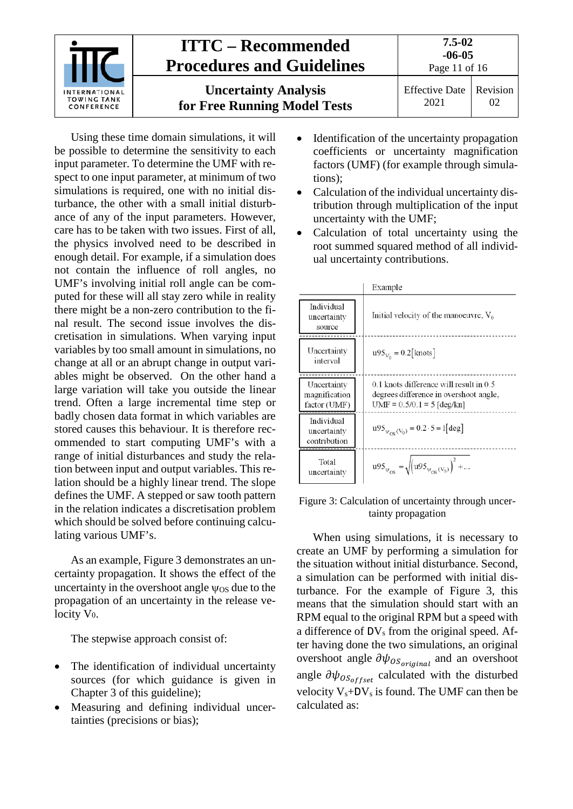

Using these time domain simulations, it will be possible to determine the sensitivity to each input parameter. To determine the UMF with respect to one input parameter, at minimum of two simulations is required, one with no initial disturbance, the other with a small initial disturbance of any of the input parameters. However, care has to be taken with two issues. First of all, the physics involved need to be described in enough detail. For example, if a simulation does not contain the influence of roll angles, no UMF's involving initial roll angle can be computed for these will all stay zero while in reality there might be a non-zero contribution to the final result. The second issue involves the discretisation in simulations. When varying input variables by too small amount in simulations, no change at all or an abrupt change in output variables might be observed. On the other hand a large variation will take you outside the linear trend. Often a large incremental time step or badly chosen data format in which variables are stored causes this behaviour. It is therefore recommended to start computing UMF's with a range of initial disturbances and study the relation between input and output variables. This relation should be a highly linear trend. The slope defines the UMF. A stepped or saw tooth pattern in the relation indicates a discretisation problem which should be solved before continuing calculating various UMF's.

As an example, [Figure 3](#page-10-0) demonstrates an uncertainty propagation. It shows the effect of the uncertainty in the overshoot angle  $\psi$ <sub>OS</sub> due to the propagation of an uncertainty in the release velocity V0.

The stepwise approach consist of:

- The identification of individual uncertainty sources (for which guidance is given in Chapter [3](#page-3-0) of this guideline);
- Measuring and defining individual uncertainties (precisions or bias);
- Identification of the uncertainty propagation coefficients or uncertainty magnification factors (UMF) (for example through simulations);
- Calculation of the individual uncertainty distribution through multiplication of the input uncertainty with the UMF;
- Calculation of total uncertainty using the root summed squared method of all individual uncertainty contributions.

|                                              | Example                                                                                                               |
|----------------------------------------------|-----------------------------------------------------------------------------------------------------------------------|
| Individual<br>uncertainty<br>source          | Initial velocity of the manoeuvre, $V_0$                                                                              |
| Uncertainty<br>interval                      | $u95_{V_0} = 0.2$ [knots]                                                                                             |
| Uncertainty<br>magnification<br>factor (UMF) | $0.1$ knots difference will result in $0.5$<br>degrees difference in overshoot angle.<br>$UMF = 0.5/0.1 = 5$ [deg/kn] |
| Individual<br>uncertainty<br>contribution    | $10^{95}v_{\text{cos}}(v_0) = 0.2 \cdot 5 = 1 \text{ [deg]}$                                                          |
| Total<br>uncertainty                         | $u95_{\psi_{OS}} = \sqrt{(u95_{\psi_{OS}(V_0)})^2 + }$                                                                |

#### <span id="page-10-0"></span>Figure 3: Calculation of uncertainty through uncertainty propagation

When using simulations, it is necessary to create an UMF by performing a simulation for the situation without initial disturbance. Second, a simulation can be performed with initial disturbance. For the example of [Figure 3,](#page-10-0) this means that the simulation should start with an RPM equal to the original RPM but a speed with a difference of  $DV_s$  from the original speed. After having done the two simulations, an original overshoot angle  $\partial \psi_{OS_{original}}$  and an overshoot angle  $\partial \psi_{OS_{offset}}$  calculated with the disturbed velocity  $V_s+DV_s$  is found. The UMF can then be calculated as: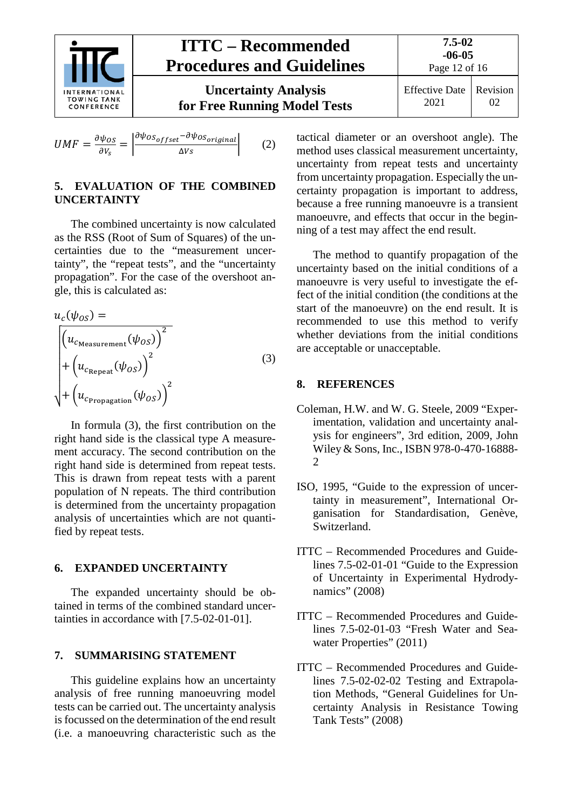

<span id="page-11-0"></span>
$$
UMF = \frac{\partial \psi_{OS}}{\partial V_S} = \left| \frac{\partial \psi_{OS_{offset}} - \partial \psi_{OS_{original}}}{\Delta V_S} \right| \tag{2}
$$

#### **5. EVALUATION OF THE COMBINED UNCERTAINTY**

The combined uncertainty is now calculated as the RSS (Root of Sum of Squares) of the uncertainties due to the "measurement uncertainty", the "repeat tests", and the "uncertainty propagation". For the case of the overshoot angle, this is calculated as:

$$
u_c(\psi_{OS}) =
$$
\n
$$
\begin{cases}\n(u_{c_{\text{Measurement}}}(\psi_{OS}))^2 \\
+ (u_{c_{\text{Repeat}}}(\psi_{OS}))^2 \\
+ (u_{c_{\text{Prepagation}}}(\psi_{OS}))^2\n\end{cases}
$$
\n(3)

In formula (3), the first contribution on the right hand side is the classical type A measurement accuracy. The second contribution on the right hand side is determined from repeat tests. This is drawn from repeat tests with a parent population of N repeats. The third contribution is determined from the uncertainty propagation analysis of uncertainties which are not quantified by repeat tests.

#### <span id="page-11-1"></span>**6. EXPANDED UNCERTAINTY**

The expanded uncertainty should be obtained in terms of the combined standard uncertainties in accordance with [7.5-02-01-01].

#### <span id="page-11-2"></span>**7. SUMMARISING STATEMENT**

This guideline explains how an uncertainty analysis of free running manoeuvring model tests can be carried out. The uncertainty analysis is focussed on the determination of the end result (i.e. a manoeuvring characteristic such as the tactical diameter or an overshoot angle). The method uses classical measurement uncertainty, uncertainty from repeat tests and uncertainty from uncertainty propagation. Especially the uncertainty propagation is important to address, because a free running manoeuvre is a transient manoeuvre, and effects that occur in the beginning of a test may affect the end result.

The method to quantify propagation of the uncertainty based on the initial conditions of a manoeuvre is very useful to investigate the effect of the initial condition (the conditions at the start of the manoeuvre) on the end result. It is recommended to use this method to verify whether deviations from the initial conditions are acceptable or unacceptable.

#### <span id="page-11-3"></span>**8. REFERENCES**

- Coleman, H.W. and W. G. Steele, 2009 "Experimentation, validation and uncertainty analysis for engineers", 3rd edition, 2009, John Wiley & Sons, Inc., ISBN 978-0-470-16888- 2
- ISO, 1995, "Guide to the expression of uncertainty in measurement", International Organisation for Standardisation, Genève, Switzerland.
- ITTC Recommended Procedures and Guidelines 7.5-02-01-01 "Guide to the Expression of Uncertainty in Experimental Hydrodynamics" (2008)
- ITTC Recommended Procedures and Guidelines 7.5-02-01-03 "Fresh Water and Seawater Properties" (2011)
- ITTC Recommended Procedures and Guidelines 7.5-02-02-02 Testing and Extrapolation Methods, "General Guidelines for Uncertainty Analysis in Resistance Towing Tank Tests" (2008)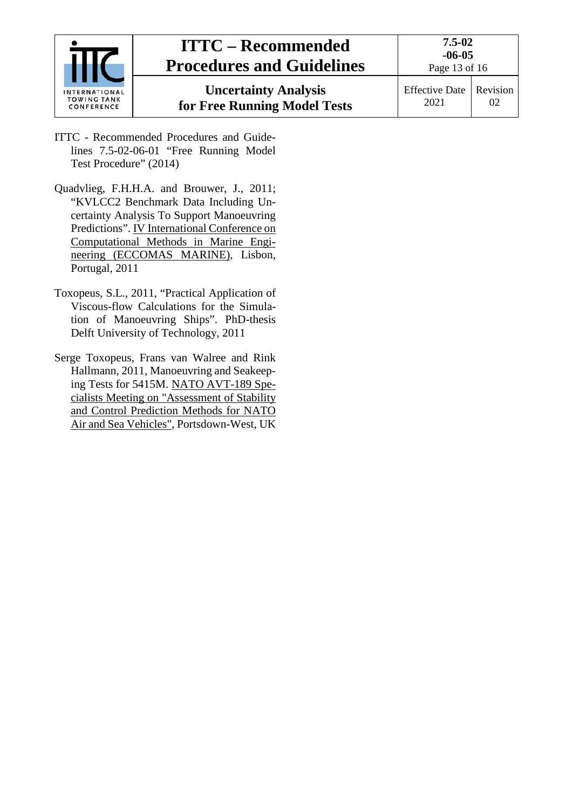| INTERNATIONAL<br><b>TOWING TANK</b><br>CONFERENCE | <b>ITTC – Recommended</b><br><b>Procedures and Guidelines</b> | $7.5 - 02$<br>$-06-05$<br>Page 13 of 16 |          |  |
|---------------------------------------------------|---------------------------------------------------------------|-----------------------------------------|----------|--|
|                                                   | <b>Uncertainty Analysis</b><br>for Free Running Model Tests   | Effective Date  <br>2021                | Revision |  |

- ITTC Recommended Procedures and Guidelines 7.5-02-06-01 "Free Running Model Test Procedure" (2014)
- Quadvlieg, F.H.H.A. and Brouwer, J., 2011; "KVLCC2 Benchmark Data Including Uncertainty Analysis To Support Manoeuvring Predictions". IV International Conference on Computational Methods in Marine Engineering (ECCOMAS MARINE), Lisbon, Portugal, 2011
- Toxopeus, S.L., 2011, "Practical Application of Viscous-flow Calculations for the Simulation of Manoeuvring Ships". PhD-thesis Delft University of Technology, 2011
- Serge Toxopeus, Frans van Walree and Rink Hallmann, 2011, Manoeuvring and Seakeeping Tests for 5415M. NATO AVT-189 Specialists Meeting on "Assessment of Stability and Control Prediction Methods for NATO Air and Sea Vehicles", Portsdown-West, UK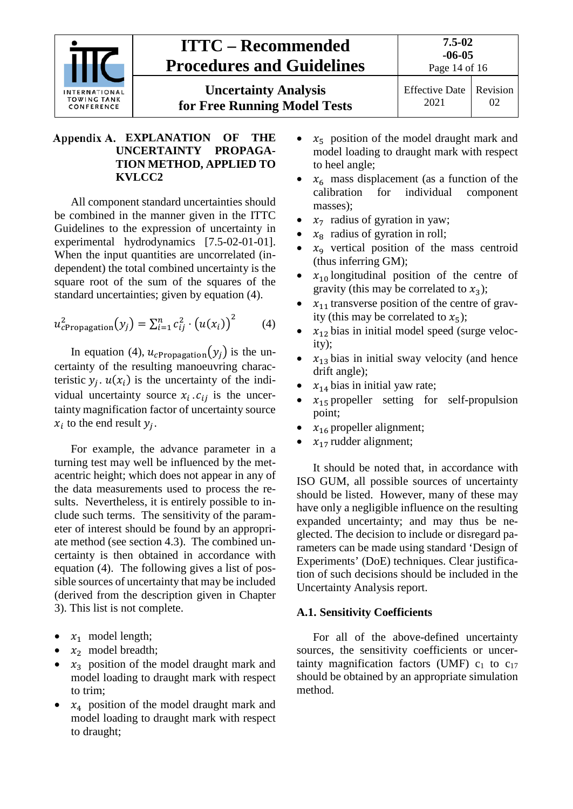

# <span id="page-13-0"></span>**EXPLANATION OF THE UNCERTAINTY PROPAGA-TION METHOD, APPLIED TO KVLCC2**

All component standard uncertainties should be combined in the manner given in the ITTC Guidelines to the expression of uncertainty in experimental hydrodynamics [7.5-02-01-01]. When the input quantities are uncorrelated (independent) the total combined uncertainty is the square root of the sum of the squares of the standard uncertainties; given by equation (4).

$$
u_{cPropagation}^2(y_j) = \sum_{i=1}^n c_{ij}^2 \cdot (u(x_i))^2
$$
 (4)

In equation (4),  $u_{cPropaation}(y_i)$  is the uncertainty of the resulting manoeuvring characteristic  $y_i$ .  $u(x_i)$  is the uncertainty of the individual uncertainty source  $x_i$ .  $c_{ij}$  is the uncertainty magnification factor of uncertainty source  $x_i$  to the end result  $y_i$ .

For example, the advance parameter in a turning test may well be influenced by the metacentric height; which does not appear in any of the data measurements used to process the results. Nevertheless, it is entirely possible to include such terms. The sensitivity of the parameter of interest should be found by an appropriate method (see section 4.3). The combined uncertainty is then obtained in accordance with equation (4). The following gives a list of possible sources of uncertainty that may be included (derived from the description given in Chapter [3\)](#page-3-0). This list is not complete.

- $x_1$  model length;
- $x_2$  model breadth;
- $x_3$  position of the model draught mark and model loading to draught mark with respect to trim;
- $x_4$  position of the model draught mark and model loading to draught mark with respect to draught;
- $x_5$  position of the model draught mark and model loading to draught mark with respect to heel angle;
- $x_6$  mass displacement (as a function of the calibration for individual component component masses);
- $x_7$  radius of gyration in yaw;
- $x_8$  radius of gyration in roll;
- $x<sub>9</sub>$  vertical position of the mass centroid (thus inferring GM);
- $x_{10}$  longitudinal position of the centre of gravity (this may be correlated to  $x_3$ );
- $x_{11}$  transverse position of the centre of gravity (this may be correlated to  $x_5$ );
- $x_{12}$  bias in initial model speed (surge velocity);
- $x_{13}$  bias in initial sway velocity (and hence drift angle);
- $x_{14}$  bias in initial yaw rate;
- $x_{15}$  propeller setting for self-propulsion point;
- $x_{16}$  propeller alignment;
- $x_{17}$  rudder alignment;

It should be noted that, in accordance with ISO GUM, all possible sources of uncertainty should be listed. However, many of these may have only a negligible influence on the resulting expanded uncertainty; and may thus be neglected. The decision to include or disregard parameters can be made using standard 'Design of Experiments' (DoE) techniques. Clear justification of such decisions should be included in the Uncertainty Analysis report.

# <span id="page-13-1"></span>**A.1. Sensitivity Coefficients**

For all of the above-defined uncertainty sources, the sensitivity coefficients or uncertainty magnification factors (UMF)  $c_1$  to  $c_{17}$ should be obtained by an appropriate simulation method.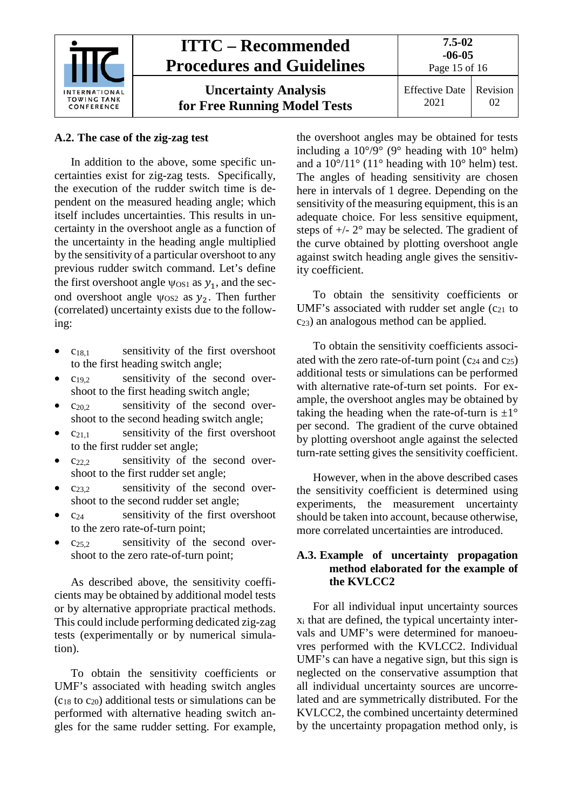

#### <span id="page-14-0"></span>**A.2. The case of the zig-zag test**

In addition to the above, some specific uncertainties exist for zig-zag tests. Specifically, the execution of the rudder switch time is dependent on the measured heading angle; which itself includes uncertainties. This results in uncertainty in the overshoot angle as a function of the uncertainty in the heading angle multiplied by the sensitivity of a particular overshoot to any previous rudder switch command. Let's define the first overshoot angle  $\psi_{OS1}$  as  $y_1$ , and the second overshoot angle  $\psi$ <sub>OS2</sub> as  $y_2$ . Then further (correlated) uncertainty exists due to the following:

- $c_{18,1}$  sensitivity of the first overshoot to the first heading switch angle;
- $c_{19,2}$  sensitivity of the second overshoot to the first heading switch angle;
- $\frac{\cosh 2}{\cosh 2}$  sensitivity of the second overshoot to the second heading switch angle;
- $c_{21,1}$  sensitivity of the first overshoot to the first rudder set angle;
- $c_{22.2}$  sensitivity of the second overshoot to the first rudder set angle;
- $c_{23,2}$  sensitivity of the second overshoot to the second rudder set angle;
- $c_{24}$  sensitivity of the first overshoot to the zero rate-of-turn point;
- $c_{25.2}$  sensitivity of the second overshoot to the zero rate-of-turn point;

As described above, the sensitivity coefficients may be obtained by additional model tests or by alternative appropriate practical methods. This could include performing dedicated zig-zag tests (experimentally or by numerical simulation).

To obtain the sensitivity coefficients or UMF's associated with heading switch angles  $(c_{18}$  to  $c_{20}$ ) additional tests or simulations can be performed with alternative heading switch angles for the same rudder setting. For example, the overshoot angles may be obtained for tests including a  $10^{\circ}/9^{\circ}$  (9° heading with  $10^{\circ}$  helm) and a  $10^{\circ}/11^{\circ}$  (11° heading with 10° helm) test. The angles of heading sensitivity are chosen here in intervals of 1 degree. Depending on the sensitivity of the measuring equipment, this is an adequate choice. For less sensitive equipment, steps of  $+/- 2^{\circ}$  may be selected. The gradient of the curve obtained by plotting overshoot angle against switch heading angle gives the sensitivity coefficient.

To obtain the sensitivity coefficients or UMF's associated with rudder set angle  $(c_{21}$  to  $c_{23}$ ) an analogous method can be applied.

To obtain the sensitivity coefficients associated with the zero rate-of-turn point  $(c_{24}$  and  $c_{25})$ additional tests or simulations can be performed with alternative rate-of-turn set points. For example, the overshoot angles may be obtained by taking the heading when the rate-of-turn is  $\pm 1^{\circ}$ per second. The gradient of the curve obtained by plotting overshoot angle against the selected turn-rate setting gives the sensitivity coefficient.

However, when in the above described cases the sensitivity coefficient is determined using experiments, the measurement uncertainty should be taken into account, because otherwise, more correlated uncertainties are introduced.

#### <span id="page-14-1"></span>**A.3. Example of uncertainty propagation method elaborated for the example of the KVLCC2**

For all individual input uncertainty sources xi that are defined, the typical uncertainty intervals and UMF's were determined for manoeuvres performed with the KVLCC2. Individual UMF's can have a negative sign, but this sign is neglected on the conservative assumption that all individual uncertainty sources are uncorrelated and are symmetrically distributed. For the KVLCC2, the combined uncertainty determined by the uncertainty propagation method only, is